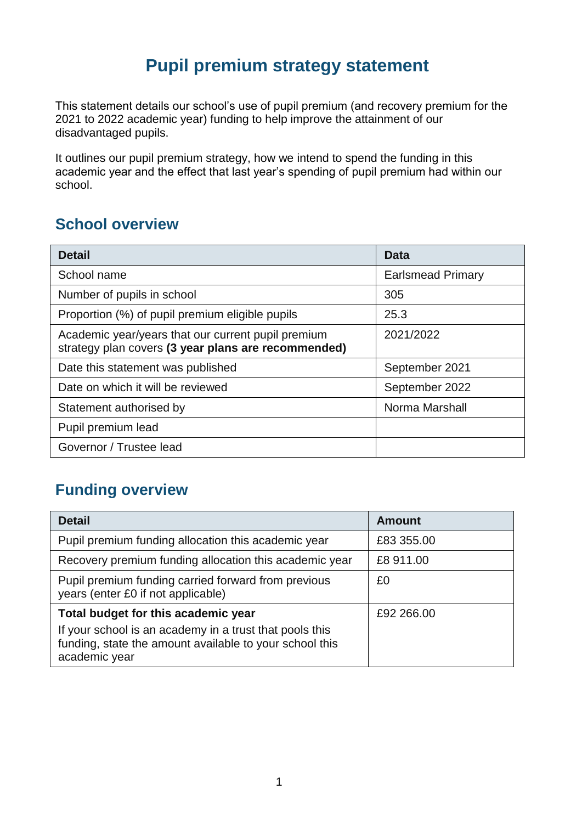## **Pupil premium strategy statement**

This statement details our school's use of pupil premium (and recovery premium for the 2021 to 2022 academic year) funding to help improve the attainment of our disadvantaged pupils.

It outlines our pupil premium strategy, how we intend to spend the funding in this academic year and the effect that last year's spending of pupil premium had within our school.

### **School overview**

| <b>Detail</b>                                                                                             | Data                     |  |
|-----------------------------------------------------------------------------------------------------------|--------------------------|--|
| School name                                                                                               | <b>Earlsmead Primary</b> |  |
| Number of pupils in school                                                                                | 305                      |  |
| Proportion (%) of pupil premium eligible pupils                                                           | 25.3                     |  |
| Academic year/years that our current pupil premium<br>strategy plan covers (3 year plans are recommended) | 2021/2022                |  |
| Date this statement was published                                                                         | September 2021           |  |
| Date on which it will be reviewed                                                                         | September 2022           |  |
| Statement authorised by                                                                                   | Norma Marshall           |  |
| Pupil premium lead                                                                                        |                          |  |
| Governor / Trustee lead                                                                                   |                          |  |

### **Funding overview**

| <b>Detail</b>                                                                                                                       | <b>Amount</b> |
|-------------------------------------------------------------------------------------------------------------------------------------|---------------|
| Pupil premium funding allocation this academic year                                                                                 | £83 355.00    |
| Recovery premium funding allocation this academic year                                                                              | £8 911.00     |
| Pupil premium funding carried forward from previous<br>years (enter £0 if not applicable)                                           | £0            |
| Total budget for this academic year                                                                                                 | £92 266,00    |
| If your school is an academy in a trust that pools this<br>funding, state the amount available to your school this<br>academic year |               |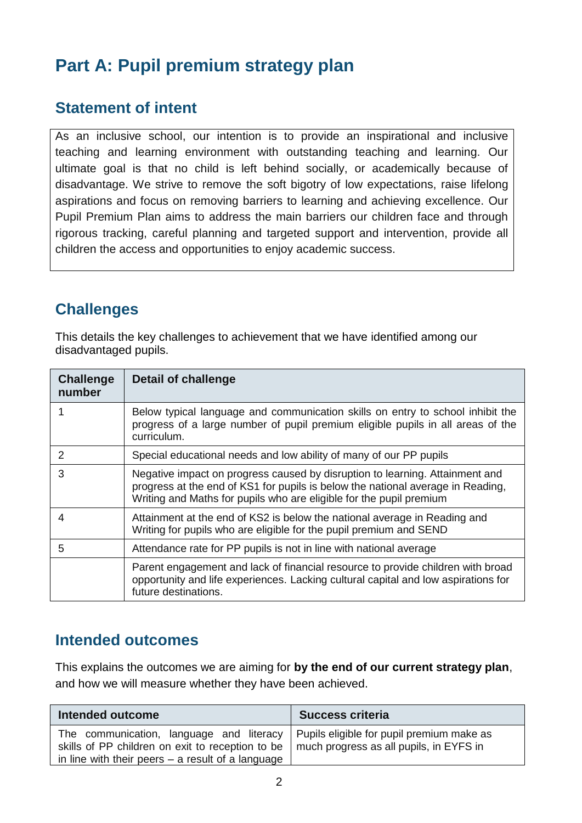# **Part A: Pupil premium strategy plan**

### **Statement of intent**

As an inclusive school, our intention is to provide an inspirational and inclusive teaching and learning environment with outstanding teaching and learning. Our ultimate goal is that no child is left behind socially, or academically because of disadvantage. We strive to remove the soft bigotry of low expectations, raise lifelong aspirations and focus on removing barriers to learning and achieving excellence. Our Pupil Premium Plan aims to address the main barriers our children face and through rigorous tracking, careful planning and targeted support and intervention, provide all children the access and opportunities to enjoy academic success.

### **Challenges**

This details the key challenges to achievement that we have identified among our disadvantaged pupils.

| <b>Challenge</b><br>number | Detail of challenge                                                                                                                                                                                                                    |
|----------------------------|----------------------------------------------------------------------------------------------------------------------------------------------------------------------------------------------------------------------------------------|
| 1                          | Below typical language and communication skills on entry to school inhibit the<br>progress of a large number of pupil premium eligible pupils in all areas of the<br>curriculum.                                                       |
| 2                          | Special educational needs and low ability of many of our PP pupils                                                                                                                                                                     |
| 3                          | Negative impact on progress caused by disruption to learning. Attainment and<br>progress at the end of KS1 for pupils is below the national average in Reading.<br>Writing and Maths for pupils who are eligible for the pupil premium |
| 4                          | Attainment at the end of KS2 is below the national average in Reading and<br>Writing for pupils who are eligible for the pupil premium and SEND                                                                                        |
| 5                          | Attendance rate for PP pupils is not in line with national average                                                                                                                                                                     |
|                            | Parent engagement and lack of financial resource to provide children with broad<br>opportunity and life experiences. Lacking cultural capital and low aspirations for<br>future destinations.                                          |

### **Intended outcomes**

This explains the outcomes we are aiming for **by the end of our current strategy plan**, and how we will measure whether they have been achieved.

| Intended outcome                                                                                                                                    | <b>Success criteria</b>                                                              |  |
|-----------------------------------------------------------------------------------------------------------------------------------------------------|--------------------------------------------------------------------------------------|--|
| The communication, language and literacy<br>skills of PP children on exit to reception to be<br>in line with their peers $-$ a result of a language | Pupils eligible for pupil premium make as<br>much progress as all pupils, in EYFS in |  |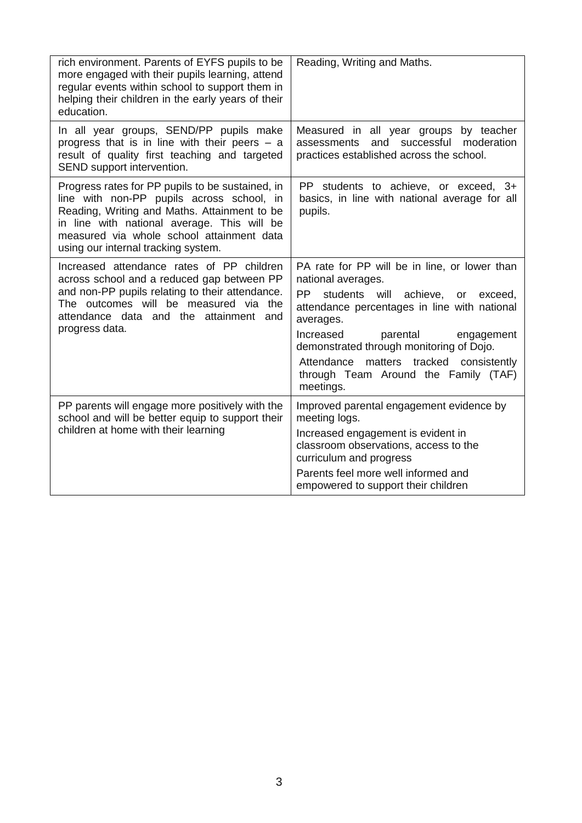| rich environment. Parents of EYFS pupils to be<br>more engaged with their pupils learning, attend<br>regular events within school to support them in<br>helping their children in the early years of their<br>education.                                                         | Reading, Writing and Maths.                                                                                                                                                                                                                                                                                                                                                 |
|----------------------------------------------------------------------------------------------------------------------------------------------------------------------------------------------------------------------------------------------------------------------------------|-----------------------------------------------------------------------------------------------------------------------------------------------------------------------------------------------------------------------------------------------------------------------------------------------------------------------------------------------------------------------------|
| In all year groups, SEND/PP pupils make<br>progress that is in line with their peers $-$ a<br>result of quality first teaching and targeted<br>SEND support intervention.                                                                                                        | Measured in all year groups by teacher<br>and successful<br>moderation<br>assessments<br>practices established across the school.                                                                                                                                                                                                                                           |
| Progress rates for PP pupils to be sustained, in<br>line with non-PP pupils across school, in<br>Reading, Writing and Maths. Attainment to be<br>in line with national average. This will be<br>measured via whole school attainment data<br>using our internal tracking system. | PP students to achieve, or exceed, 3+<br>basics, in line with national average for all<br>pupils.                                                                                                                                                                                                                                                                           |
| Increased attendance rates of PP children<br>across school and a reduced gap between PP<br>and non-PP pupils relating to their attendance.<br>The outcomes will be measured via the<br>attendance data and the attainment and<br>progress data.                                  | PA rate for PP will be in line, or lower than<br>national averages.<br><b>PP</b><br>students will achieve, or exceed,<br>attendance percentages in line with national<br>averages.<br>Increased<br>parental<br>engagement<br>demonstrated through monitoring of Dojo.<br>Attendance<br>matters tracked<br>consistently<br>through Team Around the Family (TAF)<br>meetings. |
| PP parents will engage more positively with the<br>school and will be better equip to support their<br>children at home with their learning                                                                                                                                      | Improved parental engagement evidence by<br>meeting logs.<br>Increased engagement is evident in<br>classroom observations, access to the<br>curriculum and progress<br>Parents feel more well informed and<br>empowered to support their children                                                                                                                           |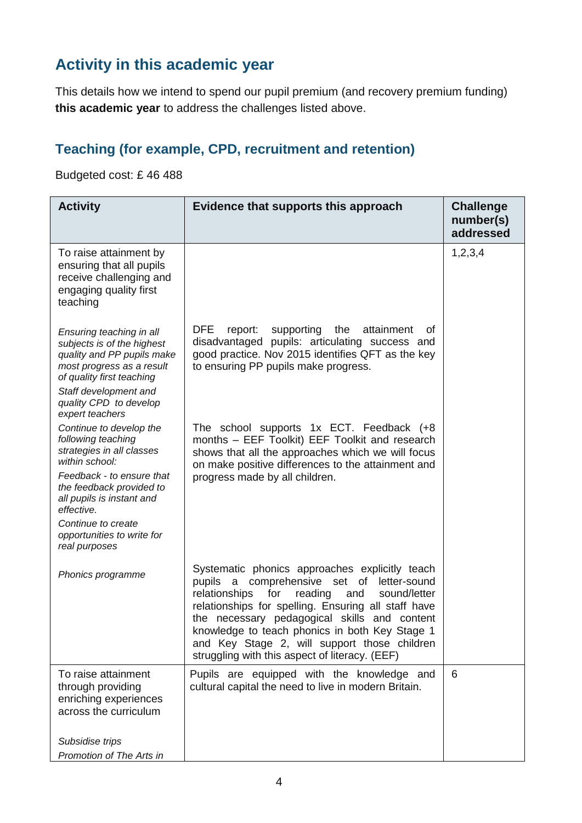### **Activity in this academic year**

This details how we intend to spend our pupil premium (and recovery premium funding) **this academic year** to address the challenges listed above.

### **Teaching (for example, CPD, recruitment and retention)**

Budgeted cost: £ 46 488

| <b>Activity</b>                                                                                                                                                                                                      | Evidence that supports this approach                                                                                                                                                                                                                                                                                                                                                                                                  | <b>Challenge</b><br>number(s)<br>addressed |
|----------------------------------------------------------------------------------------------------------------------------------------------------------------------------------------------------------------------|---------------------------------------------------------------------------------------------------------------------------------------------------------------------------------------------------------------------------------------------------------------------------------------------------------------------------------------------------------------------------------------------------------------------------------------|--------------------------------------------|
| To raise attainment by<br>ensuring that all pupils<br>receive challenging and<br>engaging quality first<br>teaching                                                                                                  |                                                                                                                                                                                                                                                                                                                                                                                                                                       | 1, 2, 3, 4                                 |
| Ensuring teaching in all<br>subjects is of the highest<br>quality and PP pupils make<br>most progress as a result<br>of quality first teaching<br>Staff development and<br>quality CPD to develop<br>expert teachers | <b>DFE</b><br>supporting<br>the<br>attainment<br>report:<br>οf<br>disadvantaged pupils: articulating success and<br>good practice. Nov 2015 identifies QFT as the key<br>to ensuring PP pupils make progress.                                                                                                                                                                                                                         |                                            |
| Continue to develop the<br>following teaching<br>strategies in all classes<br>within school:<br>Feedback - to ensure that<br>the feedback provided to<br>all pupils is instant and<br>effective.                     | The school supports 1x ECT. Feedback (+8<br>months - EEF Toolkit) EEF Toolkit and research<br>shows that all the approaches which we will focus<br>on make positive differences to the attainment and<br>progress made by all children.                                                                                                                                                                                               |                                            |
| Continue to create<br>opportunities to write for<br>real purposes                                                                                                                                                    |                                                                                                                                                                                                                                                                                                                                                                                                                                       |                                            |
| Phonics programme                                                                                                                                                                                                    | Systematic phonics approaches explicitly teach<br>comprehensive set of<br>pupils<br>letter-sound<br>$\mathsf{a}$<br>relationships<br>for<br>reading<br>sound/letter<br>and<br>relationships for spelling. Ensuring all staff have<br>the necessary pedagogical skills and content<br>knowledge to teach phonics in both Key Stage 1<br>and Key Stage 2, will support those children<br>struggling with this aspect of literacy. (EEF) |                                            |
| To raise attainment<br>through providing<br>enriching experiences<br>across the curriculum                                                                                                                           | Pupils are equipped with the knowledge and<br>cultural capital the need to live in modern Britain.                                                                                                                                                                                                                                                                                                                                    | 6                                          |
| Subsidise trips<br>Promotion of The Arts in                                                                                                                                                                          |                                                                                                                                                                                                                                                                                                                                                                                                                                       |                                            |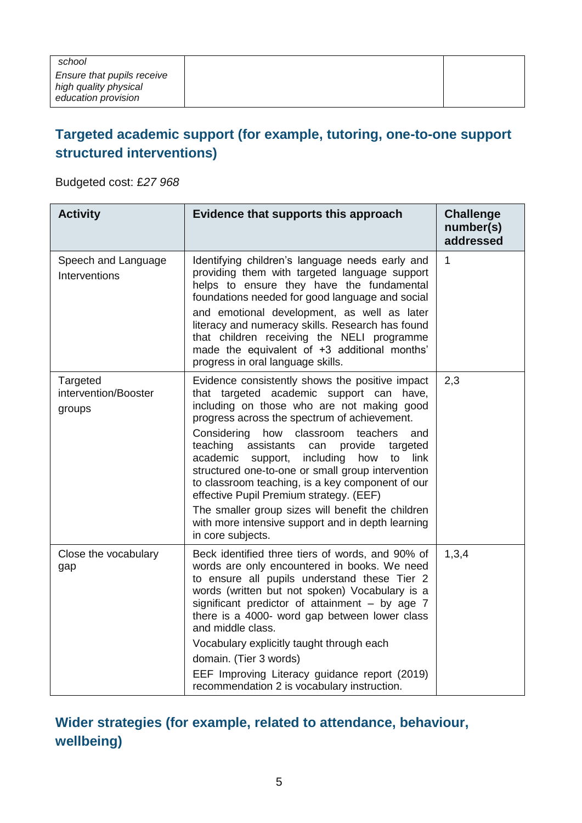#### **Targeted academic support (for example, tutoring, one-to-one support structured interventions)**

Budgeted cost: £*27 968*

| <b>Activity</b>                            | Evidence that supports this approach                                                                                                                                                                                                                                                                                                                                                                                                                                                                                                                                                                                                           | <b>Challenge</b><br>number(s)<br>addressed |
|--------------------------------------------|------------------------------------------------------------------------------------------------------------------------------------------------------------------------------------------------------------------------------------------------------------------------------------------------------------------------------------------------------------------------------------------------------------------------------------------------------------------------------------------------------------------------------------------------------------------------------------------------------------------------------------------------|--------------------------------------------|
| Speech and Language<br>Interventions       | Identifying children's language needs early and<br>providing them with targeted language support<br>helps to ensure they have the fundamental<br>foundations needed for good language and social<br>and emotional development, as well as later<br>literacy and numeracy skills. Research has found<br>that children receiving the NELI programme<br>made the equivalent of +3 additional months'<br>progress in oral language skills.                                                                                                                                                                                                         | $\mathbf{1}$                               |
| Targeted<br>intervention/Booster<br>groups | Evidence consistently shows the positive impact<br>that targeted academic support can have,<br>including on those who are not making good<br>progress across the spectrum of achievement.<br>Considering<br>how classroom<br>teachers<br>and<br>teaching<br>assistants<br>provide<br>can<br>targeted<br>academic support,<br>including<br>how<br>link<br>to<br>structured one-to-one or small group intervention<br>to classroom teaching, is a key component of our<br>effective Pupil Premium strategy. (EEF)<br>The smaller group sizes will benefit the children<br>with more intensive support and in depth learning<br>in core subjects. | 2,3                                        |
| Close the vocabulary<br>gap                | Beck identified three tiers of words, and 90% of<br>words are only encountered in books. We need<br>to ensure all pupils understand these Tier 2<br>words (written but not spoken) Vocabulary is a<br>significant predictor of attainment $-$ by age $7$<br>there is a 4000- word gap between lower class<br>and middle class.<br>Vocabulary explicitly taught through each<br>domain. (Tier 3 words)<br>EEF Improving Literacy guidance report (2019)<br>recommendation 2 is vocabulary instruction.                                                                                                                                          | 1,3,4                                      |

#### **Wider strategies (for example, related to attendance, behaviour, wellbeing)**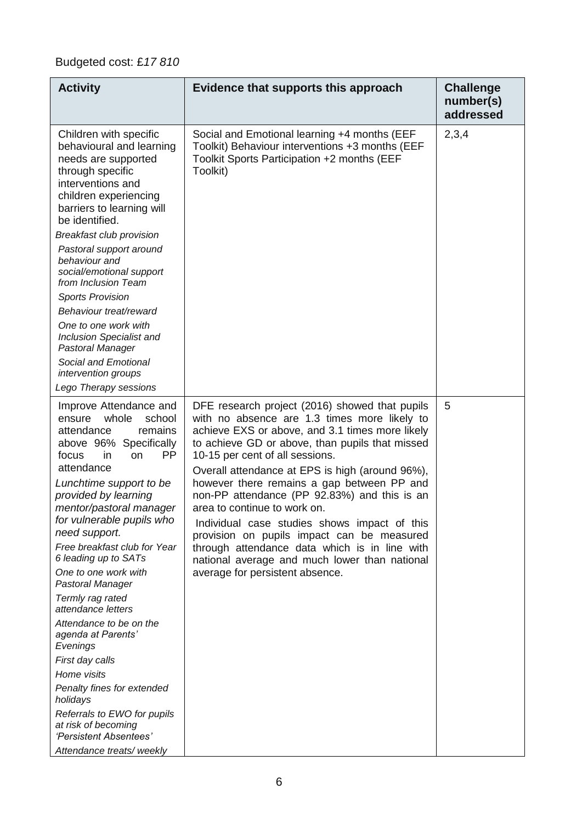### Budgeted cost: £*17 810*

| <b>Activity</b>                                                                                                                                                                                                                                                                                                                                                                                                                                                                                                                                                                                                                                                                              | Evidence that supports this approach                                                                                                                                                                                                                                                                                                                                                                                                                                                                                                                                                                                                                        | <b>Challenge</b><br>number(s)<br>addressed |
|----------------------------------------------------------------------------------------------------------------------------------------------------------------------------------------------------------------------------------------------------------------------------------------------------------------------------------------------------------------------------------------------------------------------------------------------------------------------------------------------------------------------------------------------------------------------------------------------------------------------------------------------------------------------------------------------|-------------------------------------------------------------------------------------------------------------------------------------------------------------------------------------------------------------------------------------------------------------------------------------------------------------------------------------------------------------------------------------------------------------------------------------------------------------------------------------------------------------------------------------------------------------------------------------------------------------------------------------------------------------|--------------------------------------------|
| Children with specific<br>behavioural and learning<br>needs are supported<br>through specific<br>interventions and<br>children experiencing<br>barriers to learning will<br>be identified.<br><b>Breakfast club provision</b><br>Pastoral support around<br>behaviour and<br>social/emotional support<br>from Inclusion Team<br><b>Sports Provision</b><br>Behaviour treat/reward<br>One to one work with<br>Inclusion Specialist and<br>Pastoral Manager<br>Social and Emotional<br>intervention groups<br>Lego Therapy sessions                                                                                                                                                            | Social and Emotional learning +4 months (EEF<br>Toolkit) Behaviour interventions +3 months (EEF<br>Toolkit Sports Participation +2 months (EEF<br>Toolkit)                                                                                                                                                                                                                                                                                                                                                                                                                                                                                                  | 2,3,4                                      |
| Improve Attendance and<br>whole<br>school<br>ensure<br>attendance<br>remains<br>above 96% Specifically<br><b>PP</b><br>focus<br><i>in</i><br>on<br>attendance<br>Lunchtime support to be<br>provided by learning<br>mentor/pastoral manager<br>for vulnerable pupils who<br>need support.<br>Free breakfast club for Year<br>6 leading up to SATs<br>One to one work with<br>Pastoral Manager<br>Termly rag rated<br>attendance letters<br>Attendance to be on the<br>agenda at Parents'<br>Evenings<br>First day calls<br>Home visits<br>Penalty fines for extended<br>holidays<br>Referrals to EWO for pupils<br>at risk of becoming<br>'Persistent Absentees'<br>Attendance treats/weekly | DFE research project (2016) showed that pupils<br>with no absence are 1.3 times more likely to<br>achieve EXS or above, and 3.1 times more likely<br>to achieve GD or above, than pupils that missed<br>10-15 per cent of all sessions.<br>Overall attendance at EPS is high (around 96%),<br>however there remains a gap between PP and<br>non-PP attendance (PP 92.83%) and this is an<br>area to continue to work on.<br>Individual case studies shows impact of this<br>provision on pupils impact can be measured<br>through attendance data which is in line with<br>national average and much lower than national<br>average for persistent absence. | 5                                          |